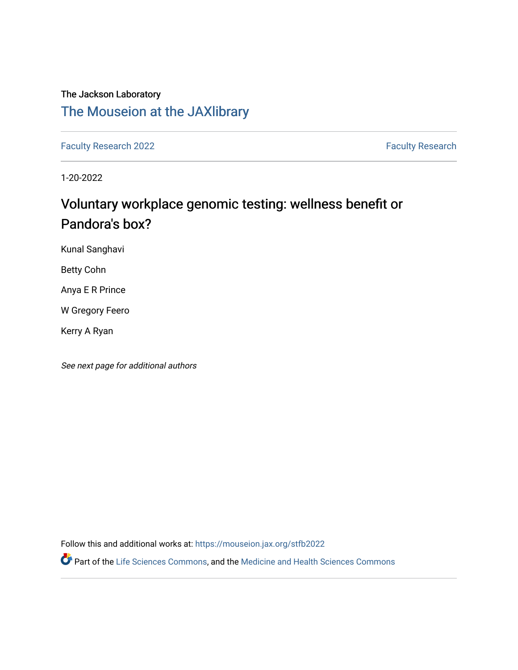# The Jackson Laboratory [The Mouseion at the JAXlibrary](https://mouseion.jax.org/)

[Faculty Research 2022](https://mouseion.jax.org/stfb2022) **Faculty Research** 2022

1-20-2022

# Voluntary workplace genomic testing: wellness benefit or Pandora's box?

Kunal Sanghavi

Betty Cohn

Anya E R Prince

W Gregory Feero

Kerry A Ryan

See next page for additional authors

Follow this and additional works at: [https://mouseion.jax.org/stfb2022](https://mouseion.jax.org/stfb2022?utm_source=mouseion.jax.org%2Fstfb2022%2F86&utm_medium=PDF&utm_campaign=PDFCoverPages)

Part of the [Life Sciences Commons,](https://network.bepress.com/hgg/discipline/1016?utm_source=mouseion.jax.org%2Fstfb2022%2F86&utm_medium=PDF&utm_campaign=PDFCoverPages) and the [Medicine and Health Sciences Commons](https://network.bepress.com/hgg/discipline/648?utm_source=mouseion.jax.org%2Fstfb2022%2F86&utm_medium=PDF&utm_campaign=PDFCoverPages)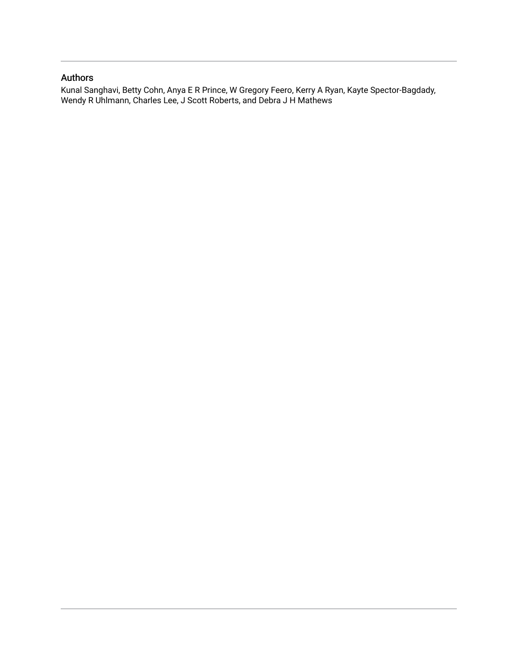# Authors

Kunal Sanghavi, Betty Cohn, Anya E R Prince, W Gregory Feero, Kerry A Ryan, Kayte Spector-Bagdady, Wendy R Uhlmann, Charles Lee, J Scott Roberts, and Debra J H Mathews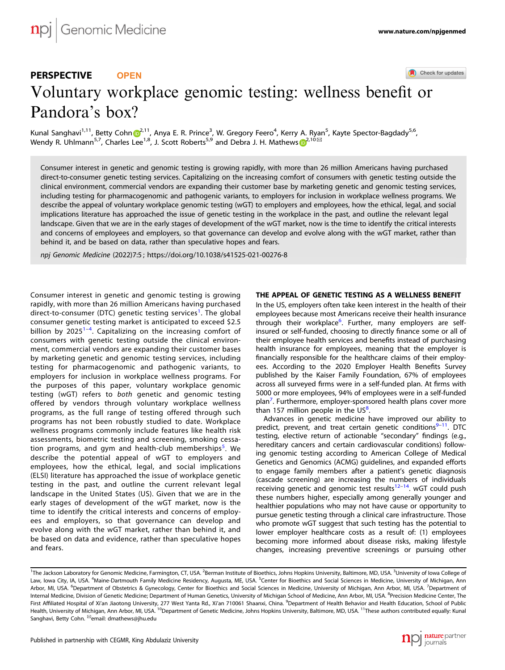#### Check for updates

# PERSPECTIVE **OPEN** Voluntary workplace genomic testing: wellness bene[fi](http://crossmark.crossref.org/dialog/?doi=10.1038/s41525-021-00276-8&domain=pdf)t or Pandora's box?

Ku[n](http://orcid.org/0000-0002-9996-9414)al Sanghavi<sup>1,11</sup>, Betty Cohn <sup>1</sup>,<sup>[2](http://orcid.org/0000-0002-9996-9414),11</sup>, Anya E. R. Prince<sup>3</sup>, W. Gregory Feero<sup>4</sup>, Kerry A. Ryan<sup>5</sup>, Kayte Spector-Bagdady<sup>5,6</sup>, Wendy R. Uhlmann<[s](http://orcid.org/0000-0002-4897-7617)up>5,7</sup>, Charles Lee<sup>1,8</sup>, J. Scott Roberts<sup>5,9</sup> and Debra J. H. Mathews  $\mathbb{R}^{2,10}$  $\mathbb{R}^{2,10}$  $\mathbb{R}^{2,10}$ 

Consumer interest in genetic and genomic testing is growing rapidly, with more than 26 million Americans having purchased direct-to-consumer genetic testing services. Capitalizing on the increasing comfort of consumers with genetic testing outside the clinical environment, commercial vendors are expanding their customer base by marketing genetic and genomic testing services, including testing for pharmacogenomic and pathogenic variants, to employers for inclusion in workplace wellness programs. We describe the appeal of voluntary workplace genomic testing (wGT) to employers and employees, how the ethical, legal, and social implications literature has approached the issue of genetic testing in the workplace in the past, and outline the relevant legal landscape. Given that we are in the early stages of development of the wGT market, now is the time to identify the critical interests and concerns of employees and employers, so that governance can develop and evolve along with the wGT market, rather than behind it, and be based on data, rather than speculative hopes and fears.

npj Genomic Medicine (2022) 7:5 ; https://doi.org/10[.1038/s41525-021-00276-8](https://doi.org/10.1038/s41525-021-00276-8)

Consumer interest in genetic and genomic testing is growing rapidly, with more than 26 million Americans having purchased direct-to-consumer (DTC) genetic testing services<sup>[1](#page-6-0)</sup>. The global consumer genetic testing market is anticipated to exceed \$2.5 billion by  $2025^{1-4}$  $2025^{1-4}$  $2025^{1-4}$  $2025^{1-4}$  $2025^{1-4}$ . Capitalizing on the increasing comfort of consumers with genetic testing outside the clinical environment, commercial vendors are expanding their customer bases by marketing genetic and genomic testing services, including testing for pharmacogenomic and pathogenic variants, to employers for inclusion in workplace wellness programs. For the purposes of this paper, voluntary workplace genomic testing (wGT) refers to both genetic and genomic testing offered by vendors through voluntary workplace wellness programs, as the full range of testing offered through such programs has not been robustly studied to date. Workplace wellness programs commonly include features like health risk assessments, biometric testing and screening, smoking cessa-tion programs, and gym and health-club memberships<sup>[5](#page-6-0)</sup>. We describe the potential appeal of wGT to employers and employees, how the ethical, legal, and social implications (ELSI) literature has approached the issue of workplace genetic testing in the past, and outline the current relevant legal landscape in the United States (US). Given that we are in the early stages of development of the wGT market, now is the time to identify the critical interests and concerns of employees and employers, so that governance can develop and evolve along with the wGT market, rather than behind it, and be based on data and evidence, rather than speculative hopes and fears.

# THE APPEAL OF GENETIC TESTING AS A WELLNESS BENEFIT

In the US, employers often take keen interest in the health of their employees because most Americans receive their health insurance through their workplace<sup>[6](#page-6-0)</sup>. Further, many employers are selfinsured or self-funded, choosing to directly finance some or all of their employee health services and benefits instead of purchasing health insurance for employees, meaning that the employer is financially responsible for the healthcare claims of their employees. According to the 2020 Employer Health Benefits Survey published by the Kaiser Family Foundation, 67% of employees across all surveyed firms were in a self-funded plan. At firms with 5000 or more employees, 94% of employees were in a self-funded plan<sup>7</sup>. Furthermore, employer-sponsored health plans cover more than 157 million people in the  $US<sup>8</sup>$  $US<sup>8</sup>$  $US<sup>8</sup>$ . .

Advances in genetic medicine have improved our ability to predict, prevent, and treat certain genetic conditions<sup>[9](#page-6-0)-11</sup>. DTC testing, elective return of actionable "secondary" findings (e.g., hereditary cancers and certain cardiovascular conditions) following genomic testing according to American College of Medical Genetics and Genomics (ACMG) guidelines, and expanded efforts to engage family members after a patient's genetic diagnosis (cascade screening) are increasing the numbers of individuals receiving genetic and genomic test results $12-14$  $12-14$  $12-14$ . wGT could push these numbers higher, especially among generally younger and healthier populations who may not have cause or opportunity to pursue genetic testing through a clinical care infrastructure. Those who promote wGT suggest that such testing has the potential to lower employer healthcare costs as a result of: (1) employees becoming more informed about disease risks, making lifestyle changes, increasing preventive screenings or pursuing other



<sup>&</sup>lt;sup>1</sup>The Jackson Laboratory for Genomic Medicine, Farmington, CT, USA. <sup>2</sup>Berman Institute of Bioethics, Johns Hopkins University, Baltimore, MD, USA. <sup>3</sup>University of Iowa College of Law, Iowa City, IA, USA. <sup>4</sup>Maine-Dartmouth Family Medicine Residency, Augusta, ME, USA. <sup>5</sup>Center for Bioethics and Social Sciences in Medicine, University of Michigan, Ann Arbor, MI, USA. <sup>6</sup>Department of Obstetrics & Gynecology, Center for Bioethics and Social Sciences in Medicine, University of Michigan, Ann Arbor, MI, USA. <sup>7</sup>Department of Internal Medicine, Division of Genetic Medicine; Department of Human Genetics, University of Michigan School of Medicine, Ann Arbor, MI, USA. <sup>8</sup>Precision Medicine Center, The First Affiliated Hospital of Xi'an Jiaotong University, 277 West Yanta Rd., Xi'an 710061 Shaanxi, China. <sup>9</sup>Department of Health Behavior and Health Education, School of Public<br>Health, University of Michigan, Ann Arbor, MI Sanghavi, Betty Cohn. <sup>⊠</sup>email: [dmathews@jhu.edu](mailto:dmathews@jhu.edu)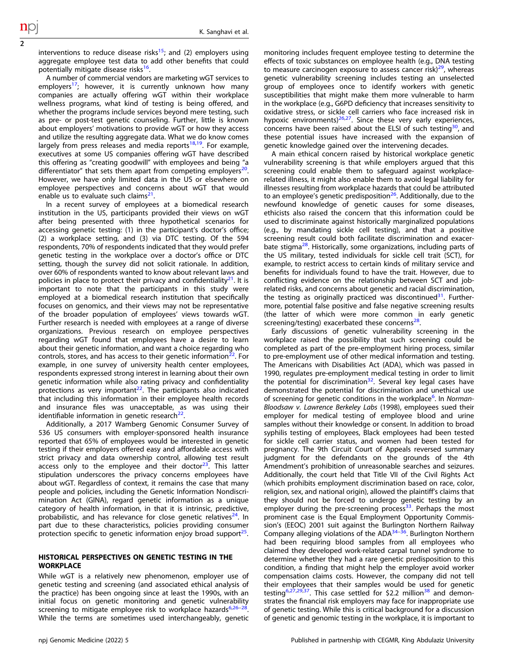interventions to reduce disease risks<sup>15</sup>; and (2) employers using aggregate employee test data to add other benefits that could potentially mitigate disease risks<sup>16</sup>.

2

A number of commercial vendors are marketing wGT services to employers<sup>[17](#page-6-0)</sup>; however, it is currently unknown how many companies are actually offering wGT within their workplace wellness programs, what kind of testing is being offered, and whether the programs include services beyond mere testing, such as pre- or post-test genetic counseling. Further, little is known about employers' motivations to provide wGT or how they access and utilize the resulting aggregate data. What we do know comes largely from press releases and media reports $18,19$  $18,19$ . For example. executives at some US companies offering wGT have described this offering as "creating goodwill" with employees and being "a differentiator" that sets them apart from competing employers $20$ . However, we have only limited data in the US or elsewhere on employee perspectives and concerns about wGT that would enable us to evaluate such claims $2^1$ .

In a recent survey of employees at a biomedical research institution in the US, participants provided their views on wGT after being presented with three hypothetical scenarios for accessing genetic testing: (1) in the participant's doctor's office; (2) a workplace setting, and (3) via DTC testing. Of the 594 respondents, 70% of respondents indicated that they would prefer genetic testing in the workplace over a doctor's office or DTC setting, though the survey did not solicit rationale. In addition, over 60% of respondents wanted to know about relevant laws and policies in place to protect their privacy and confidentiality $21$ . It is important to note that the participants in this study were employed at a biomedical research institution that specifically focuses on genomics, and their views may not be representative of the broader population of employees' views towards wGT. Further research is needed with employees at a range of diverse organizations. Previous research on employee perspectives regarding wGT found that employees have a desire to learn about their genetic information, and want a choice regarding who controls, stores, and has access to their genetic information $^{22}$ . For example, in one survey of university health center employees, respondents expressed strong interest in learning about their own genetic information while also rating privacy and confidentiality protections as very important $^{22}$ . The participants also indicated that including this information in their employee health records and insurance files was unacceptable, as was using their identifiable information in genetic research $^{22}$  $^{22}$  $^{22}$ .

Additionally, a 2017 Wamberg Genomic Consumer Survey of 536 US consumers with employer-sponsored health insurance reported that 65% of employees would be interested in genetic testing if their employers offered easy and affordable access with strict privacy and data ownership control, allowing test result access only to the employee and their doctor $2^3$ . This latter stipulation underscores the privacy concerns employees have about wGT. Regardless of context, it remains the case that many people and policies, including the Genetic Information Nondiscrimination Act (GINA), regard genetic information as a unique category of health information, in that it is intrinsic, predictive, probabilistic, and has relevance for close genetic relatives<sup>[24](#page-6-0)</sup>. In part due to these characteristics, policies providing consumer protection specific to genetic information enjoy broad support $25$ .

# HISTORICAL PERSPECTIVES ON GENETIC TESTING IN THE **WORKPLACE**

While wGT is a relatively new phenomenon, employer use of genetic testing and screening (and associated ethical analysis of the practice) has been ongoing since at least the 1990s, with an initial focus on genetic monitoring and genetic vulnerability screening to mitigate employee risk to workplace hazards $6,26-28$  $6,26-28$  $6,26-28$  $6,26-28$ . While the terms are sometimes used interchangeably, genetic

monitoring includes frequent employee testing to determine the effects of toxic substances on employee health (e.g., DNA testing to measure carcinogen exposure to assess cancer risk) $^{29}$ , whereas genetic vulnerability screening includes testing an unselected group of employees once to identify workers with genetic susceptibilities that might make them more vulnerable to harm in the workplace (e.g., G6PD deficiency that increases sensitivity to oxidative stress, or sickle cell carriers who face increased risk in hypoxic environments) $26,27$  $26,27$ . Since these very early experiences, concerns have been raised about the ELSI of such testing $30$ , and these potential issues have increased with the expansion of genetic knowledge gained over the intervening decades.

A main ethical concern raised by historical workplace genetic vulnerability screening is that while employers argued that this screening could enable them to safeguard against workplacerelated illness, it might also enable them to avoid legal liability for illnesses resulting from workplace hazards that could be attributed to an employee's genetic predisposition<sup>26</sup>. Additionally, due to the newfound knowledge of genetic causes for some diseases, ethicists also raised the concern that this information could be used to discriminate against historically marginalized populations (e.g., by mandating sickle cell testing), and that a positive screening result could both facilitate discrimination and exacer-bate stigma<sup>[28](#page-6-0)</sup>. Historically, some organizations, including parts of the US military, tested individuals for sickle cell trait (SCT), for example, to restrict access to certain kinds of military service and benefits for individuals found to have the trait. However, due to conflicting evidence on the relationship between SCT and jobrelated risks, and concerns about genetic and racial discrimination, the testing as originally practiced was discontinued<sup>[31](#page-6-0)</sup>. Furthermore, potential false positive and false negative screening results (the latter of which were more common in early genetic screening/testing) exacerbated these concerns<sup>28</sup>.

Early discussions of genetic vulnerability screening in the workplace raised the possibility that such screening could be completed as part of the pre-employment hiring process, similar to pre-employment use of other medical information and testing. The Americans with Disabilities Act (ADA), which was passed in 1990, regulates pre-employment medical testing in order to limit the potential for discrimination<sup>32</sup>. Several key legal cases have demonstrated the potential for discrimination and unethical use of screening for genetic conditions in the workplace<sup>[6](#page-6-0)</sup>. In Norman-Bloodsaw v. Lawrence Berkeley Labs (1998), employees sued their employer for medical testing of employee blood and urine samples without their knowledge or consent. In addition to broad syphilis testing of employees, Black employees had been tested for sickle cell carrier status, and women had been tested for pregnancy. The 9th Circuit Court of Appeals reversed summary judgment for the defendants on the grounds of the 4th Amendment's prohibition of unreasonable searches and seizures. Additionally, the court held that Title VII of the Civil Rights Act (which prohibits employment discrimination based on race, color, religion, sex, and national origin), allowed the plaintiff's claims that they should not be forced to undergo genetic testing by an employer during the pre-screening process<sup>[33](#page-6-0)</sup>. Perhaps the most prominent case is the Equal Employment Opportunity Commission's (EEOC) 2001 suit against the Burlington Northern Railway Company alleging violations of the  $ADA^{34-36}$  $ADA^{34-36}$  $ADA^{34-36}$  $ADA^{34-36}$  $ADA^{34-36}$ . Burlington Northern had been requiring blood samples from all employees who claimed they developed work-related carpal tunnel syndrome to determine whether they had a rare genetic predisposition to this condition, a finding that might help the employer avoid worker compensation claims costs. However, the company did not tell their employees that their samples would be used for genetic testing<sup>6,27,29,37</sup>. This case settled for \$2.2 million<sup>38</sup> and demonstrates the financial risk employers may face for inappropriate use of genetic testing. While this is critical background for a discussion of genetic and genomic testing in the workplace, it is important to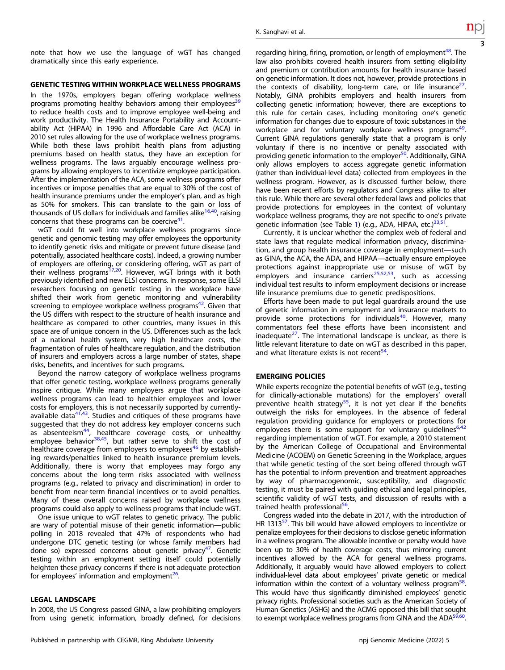note that how we use the language of wGT has changed dramatically since this early experience.

#### GENETIC TESTING WITHIN WORKPLACE WELLNESS PROGRAMS

In the 1970s, employers began offering workplace wellness programs promoting healthy behaviors among their employees $3<sup>5</sup>$ to reduce health costs and to improve employee well-being and work productivity. The Health Insurance Portability and Accountability Act (HIPAA) in 1996 and Affordable Care Act (ACA) in 2010 set rules allowing for the use of workplace wellness programs. While both these laws prohibit health plans from adjusting premiums based on health status, they have an exception for wellness programs. The laws arguably encourage wellness programs by allowing employers to incentivize employee participation. After the implementation of the ACA, some wellness programs offer incentives or impose penalties that are equal to 30% of the cost of health insurance premiums under the employer's plan, and as high as 50% for smokers. This can translate to the gain or loss of thousands of US dollars for individuals and families alike $16,40$ , raising concerns that these programs can be coercive $41$ .

wGT could fit well into workplace wellness programs since genetic and genomic testing may offer employees the opportunity to identify genetic risks and mitigate or prevent future disease (and potentially, associated healthcare costs). Indeed, a growing number of employers are offering, or considering offering, wGT as part of their wellness programs<sup>17,20</sup>. However, wGT brings with it both previously identified and new ELSI concerns. In response, some ELSI researchers focusing on genetic testing in the workplace have shifted their work from genetic monitoring and vulnerability screening to employee workplace wellness programs $42$ . Given that the US differs with respect to the structure of health insurance and healthcare as compared to other countries, many issues in this space are of unique concern in the US. Differences such as the lack of a national health system, very high healthcare costs, the fragmentation of rules of healthcare regulation, and the distribution of insurers and employers across a large number of states, shape risks, benefits, and incentives for such programs.

Beyond the narrow category of workplace wellness programs that offer genetic testing, workplace wellness programs generally inspire critique. While many employers argue that workplace wellness programs can lead to healthier employees and lower costs for employers, this is not necessarily supported by currentlyavailable data $41,43$  $41,43$ . Studies and critiques of these programs have suggested that they do not address key employer concerns such as absenteeism<sup>[44](#page-6-0)</sup>, healthcare coverage costs, or unhealthy employee behavior<sup>38,45</sup>, but rather serve to shift the cost of healthcare coverage from employers to employees<sup>[46](#page-6-0)</sup> by establishing rewards/penalties linked to health insurance premium levels. Additionally, there is worry that employees may forgo any concerns about the long-term risks associated with wellness programs (e.g., related to privacy and discrimination) in order to benefit from near-term financial incentives or to avoid penalties. Many of these overall concerns raised by workplace wellness programs could also apply to wellness programs that include wGT.

One issue unique to wGT relates to genetic privacy. The public are wary of potential misuse of their genetic information—public polling in 2018 revealed that 47% of respondents who had undergone DTC genetic testing (or whose family members had done so) expressed concerns about genetic privacy<sup>47</sup>. Genetic testing within an employment setting itself could potentially heighten these privacy concerns if there is not adequate protection for employees' information and employment $^{26}$ .

# LEGAL LANDSCAPE

In 2008, the US Congress passed GINA, a law prohibiting employers from using genetic information, broadly defined, for decisions regarding hiring, firing, promotion, or length of employment<sup>48</sup>. The law also prohibits covered health insurers from setting eligibility and premium or contribution amounts for health insurance based on genetic information. It does not, however, provide protections in the contexts of disability, long-term care, or life insurance $^{27}$ . Notably, GINA prohibits employers and health insurers from collecting genetic information; however, there are exceptions to this rule for certain cases, including monitoring one's genetic information for changes due to exposure of toxic substances in the workplace and for voluntary workplace wellness programs<sup>49</sup>. Current GINA regulations generally state that a program is only voluntary if there is no incentive or penalty associated with providing genetic information to the employer<sup>[50](#page-6-0)</sup>. Additionally, GINA only allows employers to access aggregate genetic information (rather than individual-level data) collected from employees in the wellness program. However, as is discussed further below, there have been recent efforts by regulators and Congress alike to alter this rule. While there are several other federal laws and policies that provide protections for employees in the context of voluntary workplace wellness programs, they are not specific to one's private genetic information (see Table [1\)](#page-5-0) (e.g., ADA, HIPAA, etc.)<sup>[33](#page-6-0),[51](#page-6-0)</sup>.

Currently, it is unclear whether the complex web of federal and state laws that regulate medical information privacy, discrimination, and group health insurance coverage in employment—such as GINA, the ACA, the ADA, and HIPAA—actually ensure employee protections against inappropriate use or misuse of wGT by employers and insurance carriers<sup>[25,52](#page-6-0)[,53](#page-7-0)</sup>, such as accessing individual test results to inform employment decisions or increase life insurance premiums due to genetic predispositions.

Efforts have been made to put legal guardrails around the use of genetic information in employment and insurance markets to provide some protections for individuals<sup>[40](#page-6-0)</sup>. However, many commentators feel these efforts have been inconsistent and inadequate $^{27}$ . The international landscape is unclear, as there is little relevant literature to date on wGT as described in this paper, and what literature exists is not recent<sup>[54](#page-7-0)</sup>.

#### EMERGING POLICIES

While experts recognize the potential benefits of wGT (e.g., testing for clinically-actionable mutations) for the employers' overall preventive health strategy<sup>55</sup>, it is not yet clear if the benefits outweigh the risks for employees. In the absence of federal regulation providing guidance for employers or protections for employees there is some support for voluntary guidelines $6,42$ regarding implementation of wGT. For example, a 2010 statement by the American College of Occupational and Environmental Medicine (ACOEM) on Genetic Screening in the Workplace, argues that while genetic testing of the sort being offered through wGT has the potential to inform prevention and treatment approaches by way of pharmacogenomic, susceptibility, and diagnostic testing, it must be paired with guiding ethical and legal principles, scientific validity of wGT tests, and discussion of results with a trained health professional<sup>[56](#page-7-0)</sup>.

Congress waded into the debate in 2017, with the introduction of HR 1313<sup>[57](#page-7-0)</sup>. This bill would have allowed employers to incentivize or penalize employees for their decisions to disclose genetic information in a wellness program. The allowable incentive or penalty would have been up to 30% of health coverage costs, thus mirroring current incentives allowed by the ACA for general wellness programs. Additionally, it arguably would have allowed employers to collect individual-level data about employees' private genetic or medical information within the context of a voluntary wellness program $58$ . This would have thus significantly diminished employees' genetic privacy rights. Professional societies such as the American Society of Human Genetics (ASHG) and the ACMG opposed this bill that sought to exempt workplace wellness programs from GINA and the ADA<sup>59,60</sup>.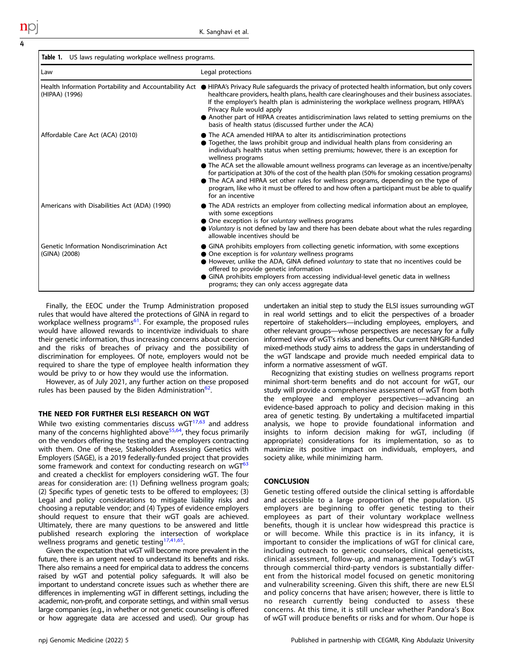<span id="page-5-0"></span>

| US laws regulating workplace wellness programs.<br>Table 1. |                                                                                                                                                                                                                                                                                                                                                                                                                                                                                                                                                                                                                                                                                |
|-------------------------------------------------------------|--------------------------------------------------------------------------------------------------------------------------------------------------------------------------------------------------------------------------------------------------------------------------------------------------------------------------------------------------------------------------------------------------------------------------------------------------------------------------------------------------------------------------------------------------------------------------------------------------------------------------------------------------------------------------------|
| Law                                                         | Legal protections                                                                                                                                                                                                                                                                                                                                                                                                                                                                                                                                                                                                                                                              |
| (HIPAA) (1996)                                              | Health Information Portability and Accountability Act ● HIPAA's Privacy Rule safeguards the privacy of protected health information, but only covers<br>healthcare providers, health plans, health care clearinghouses and their business associates.<br>If the employer's health plan is administering the workplace wellness program, HIPAA's<br>Privacy Rule would apply<br>• Another part of HIPAA creates antidiscrimination laws related to setting premiums on the<br>basis of health status (discussed further under the ACA)                                                                                                                                          |
| Affordable Care Act (ACA) (2010)                            | • The ACA amended HIPAA to alter its antidiscrimination protections<br>• Together, the laws prohibit group and individual health plans from considering an<br>individual's health status when setting premiums; however, there is an exception for<br>wellness programs<br>• The ACA set the allowable amount wellness programs can leverage as an incentive/penalty<br>for participation at 30% of the cost of the health plan (50% for smoking cessation programs)<br>• The ACA and HIPAA set other rules for wellness programs, depending on the type of<br>program, like who it must be offered to and how often a participant must be able to qualify<br>for an incentive |
| Americans with Disabilities Act (ADA) (1990)                | • The ADA restricts an employer from collecting medical information about an employee,<br>with some exceptions<br>• One exception is for voluntary wellness programs<br>● Voluntary is not defined by law and there has been debate about what the rules regarding<br>allowable incentives should be                                                                                                                                                                                                                                                                                                                                                                           |
| Genetic Information Nondiscrimination Act<br>(GINA) (2008)  | • GINA prohibits employers from collecting genetic information, with some exceptions<br>• One exception is for <i>voluntary</i> wellness programs<br>However, unlike the ADA, GINA defined voluntary to state that no incentives could be<br>offered to provide genetic information<br>• GINA prohibits employers from accessing individual-level genetic data in wellness<br>programs; they can only access aggregate data                                                                                                                                                                                                                                                    |

Finally, the EEOC under the Trump Administration proposed rules that would have altered the protections of GINA in regard to workplace wellness programs<sup>[61](#page-7-0)</sup>. For example, the proposed rules would have allowed rewards to incentivize individuals to share their genetic information, thus increasing concerns about coercion and the risks of breaches of privacy and the possibility of discrimination for employees. Of note, employers would not be required to share the type of employee health information they would be privy to or how they would use the information.

However, as of July 2021, any further action on these proposed rules has been paused by the Biden Administration<sup>[62](#page-7-0)</sup>.

## THE NEED FOR FURTHER ELSI RESEARCH ON WGT

While two existing commentaries discuss  $WGT^{17,63}$  $WGT^{17,63}$  $WGT^{17,63}$  $WGT^{17,63}$  and address many of the concerns highlighted above<sup>55,64</sup>, they focus primarily on the vendors offering the testing and the employers contracting with them. One of these, Stakeholders Assessing Genetics with Employers (SAGE), is a 2019 federally-funded project that provides some framework and context for conducting research on wGT<sup>[63](#page-7-0)</sup> and created a checklist for employers considering wGT. The four areas for consideration are: (1) Defining wellness program goals; (2) Specific types of genetic tests to be offered to employees; (3) Legal and policy considerations to mitigate liability risks and choosing a reputable vendor; and (4) Types of evidence employers should request to ensure that their wGT goals are achieved. Ultimately, there are many questions to be answered and little published research exploring the intersection of workplace wellness programs and genetic testing<sup>[17,41](#page-6-0)[,65](#page-7-0)</sup>.

Given the expectation that wGT will become more prevalent in the future, there is an urgent need to understand its benefits and risks. There also remains a need for empirical data to address the concerns raised by wGT and potential policy safeguards. It will also be important to understand concrete issues such as whether there are differences in implementing wGT in different settings, including the academic, non-profit, and corporate settings, and within small versus large companies (e.g., in whether or not genetic counseling is offered or how aggregate data are accessed and used). Our group has undertaken an initial step to study the ELSI issues surrounding wGT in real world settings and to elicit the perspectives of a broader repertoire of stakeholders—including employees, employers, and other relevant groups—whose perspectives are necessary for a fully informed view of wGT's risks and benefits. Our current NHGRI-funded mixed-methods study aims to address the gaps in understanding of the wGT landscape and provide much needed empirical data to inform a normative assessment of wGT.

Recognizing that existing studies on wellness programs report minimal short-term benefits and do not account for wGT, our study will provide a comprehensive assessment of wGT from both the employee and employer perspectives—advancing an evidence-based approach to policy and decision making in this area of genetic testing. By undertaking a multifaceted impartial analysis, we hope to provide foundational information and insights to inform decision making for wGT, including (if appropriate) considerations for its implementation, so as to maximize its positive impact on individuals, employers, and society alike, while minimizing harm.

# **CONCLUSION**

Genetic testing offered outside the clinical setting is affordable and accessible to a large proportion of the population. US employers are beginning to offer genetic testing to their employees as part of their voluntary workplace wellness benefits, though it is unclear how widespread this practice is or will become. While this practice is in its infancy, it is important to consider the implications of wGT for clinical care, including outreach to genetic counselors, clinical geneticists, clinical assessment, follow-up, and management. Today's wGT through commercial third-party vendors is substantially different from the historical model focused on genetic monitoring and vulnerability screening. Given this shift, there are new ELSI and policy concerns that have arisen; however, there is little to no research currently being conducted to assess these concerns. At this time, it is still unclear whether Pandora's Box of wGT will produce benefits or risks and for whom. Our hope is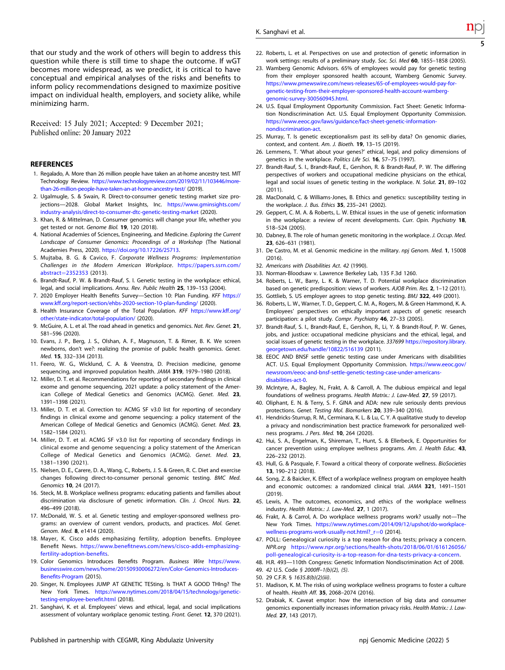<span id="page-6-0"></span>that our study and the work of others will begin to address this question while there is still time to shape the outcome. If wGT becomes more widespread, as we predict, it is critical to have conceptual and empirical analyses of the risks and benefits to inform policy recommendations designed to maximize positive impact on individual health, employers, and society alike, while minimizing harm.

Received: 15 July 2021; Accepted: 9 December 2021; Published online: 20 January 2022

#### REFERENCES

- 1. Regalado, A. More than 26 million people have taken an at-home ancestry test. MIT Technology Review. [https://www.technologyreview.com/2019/02/11/103446/more](https://www.technologyreview.com/2019/02/11/103446/more-than-26-million-people-have-taken-an-at-home-ancestry-test/)[than-26-million-people-have-taken-an-at-home-ancestry-test/](https://www.technologyreview.com/2019/02/11/103446/more-than-26-million-people-have-taken-an-at-home-ancestry-test/) (2019).
- 2. Ugalmugle, S. & Swain, R. Direct-to-consumer genetic testing market size projections—2028. Global Market Insights, Inc. [https://www.gminsights.com/](https://www.gminsights.com/industry-analysis/direct-to-consumer-dtc-genetic-testing-market) [industry-analysis/direct-to-consumer-dtc-genetic-testing-market](https://www.gminsights.com/industry-analysis/direct-to-consumer-dtc-genetic-testing-market) (2020).
- 3. Khan, R. & Mittelman, D. Consumer genomics will change your life, whether you get tested or not. Genome Biol. 19, 120 (2018).
- 4. National Academies of Sciences, Engineering, and Medicine. Exploring the Current Landscape of Consumer Genomics: Proceedings of a Workshop (The National Academies Press, 2020). <https://doi.org/10.17226/25713>.
- 5. Mujtaba, B. G. & Cavico, F. Corporate Wellness Programs: Implementation Challenges in the Modern American Workplace. [https://papers.ssrn.com/](https://papers.ssrn.com/abstract=2352353) abstract=[2352353](https://papers.ssrn.com/abstract=2352353) (2013).
- 6. Brandt-Rauf, P. W. & Brandt-Rauf, S. I. Genetic testing in the workplace: ethical, legal, and social implications. Annu. Rev. Public Health 25, 139–153 (2004).
- 7. 2020 Employer Health Benefits Survey—Section 10: Plan Funding. KFF [https://](https://www.kff.org/report-section/ehbs-2020-section-10-plan-funding/) [www.kff.org/report-section/ehbs-2020-section-10-plan-funding/](https://www.kff.org/report-section/ehbs-2020-section-10-plan-funding/) (2020).
- 8. Health Insurance Coverage of the Total Population. KFF [https://www.kff.org/](https://www.kff.org/other/state-indicator/total-population/) [other/state-indicator/total-population/](https://www.kff.org/other/state-indicator/total-population/) (2020).
- 9. McGuire, A. L. et al. The road ahead in genetics and genomics. Nat. Rev. Genet. 21, 581–596 (2020).
- 10. Evans, J. P., Berg, J. S., Olshan, A. F., Magnuson, T. & Rimer, B. K. We screen newborns, don't we?: realizing the promise of public health genomics. Genet. Med. 15, 332–334 (2013).
- 11. Feero, W. G., Wicklund, C. A. & Veenstra, D. Precision medicine, genome sequencing, and improved population health. JAMA 319, 1979–1980 (2018).
- 12. Miller, D. T. et al. Recommendations for reporting of secondary findings in clinical exome and genome sequencing, 2021 update: a policy statement of the American College of Medical Genetics and Genomics (ACMG). Genet. Med. 23, 1391–1398 (2021).
- 13. Miller, D. T. et al. Correction to: ACMG SF v3.0 list for reporting of secondary findings in clinical exome and genome sequencing: a policy statement of the American College of Medical Genetics and Genomics (ACMG). Genet. Med. 23. 1582–1584 (2021).
- 14. Miller, D. T. et al. ACMG SF v3.0 list for reporting of secondary findings in clinical exome and genome sequencing: a policy statement of the American College of Medical Genetics and Genomics (ACMG). Genet. Med. 23, 1381–1390 (2021).
- 15. Nielsen, D. E., Carere, D. A., Wang, C., Roberts, J. S. & Green, R. C. Diet and exercise changes following direct-to-consumer personal genomic testing. BMC Med. Genomics 10, 24 (2017).
- 16. Steck, M. B. Workplace wellness programs: educating patients and families about discrimination via disclosure of genetic information. Clin. J. Oncol. Nurs. 22, 496–499 (2018).
- 17. McDonald, W. S. et al. Genetic testing and employer-sponsored wellness programs: an overview of current vendors, products, and practices. Mol. Genet. Genom. Med. 8, e1414 (2020).
- 18. Mayer, K. Cisco adds emphasizing fertility, adoption benefits. Employee Benefit News. https://www.benefi[tnews.com/news/cisco-adds-emphasizing](https://www.benefitnews.com/news/cisco-adds-emphasizing-fertility-adoption-benefits)[fertility-adoption-bene](https://www.benefitnews.com/news/cisco-adds-emphasizing-fertility-adoption-benefits)fits.
- 19. Color Genomics Introduces Benefits Program. Business Wire [https://www.](https://www.businesswire.com/news/home/20150930006272/en/Color-Genomics-Introduces-Benefits-Program) [businesswire.com/news/home/20150930006272/en/Color-Genomics-Introduces-](https://www.businesswire.com/news/home/20150930006272/en/Color-Genomics-Introduces-Benefits-Program)Benefi[ts-Program](https://www.businesswire.com/news/home/20150930006272/en/Color-Genomics-Introduces-Benefits-Program) (2015).
- 20. Singer, N. Employees JUMP AT GENETIC TESting. Is THAT A GOOD THIng? The New York Times. [https://www.nytimes.com/2018/04/15/technology/genetic](https://www.nytimes.com/2018/04/15/technology/genetic-testing-employee-benefit.html)[testing-employee-bene](https://www.nytimes.com/2018/04/15/technology/genetic-testing-employee-benefit.html)fit.html (2018).
- 21. Sanghavi, K. et al. Employees' views and ethical, legal, and social implications assessment of voluntary workplace genomic testing. Front. Genet. 12, 370 (2021).
- 22. Roberts, L. et al. Perspectives on use and protection of genetic information in work settings: results of a preliminary study. Soc. Sci. Med 60, 1855–1858 (2005).
- 23. Wamberg Genomic Advisors. 65% of employees would pay for genetic testing from their employer sponsored health account, Wamberg Genomic Survey. [https://www.prnewswire.com/news-releases/65-of-employees-would-pay-for](https://www.prnewswire.com/news-releases/65-of-employees-would-pay-for-genetic-testing-from-their-employer-sponsored-health-account-wamberg-genomic-survey-300560945.html)[genetic-testing-from-their-employer-sponsored-health-account-wamberg](https://www.prnewswire.com/news-releases/65-of-employees-would-pay-for-genetic-testing-from-their-employer-sponsored-health-account-wamberg-genomic-survey-300560945.html)[genomic-survey-300560945.html.](https://www.prnewswire.com/news-releases/65-of-employees-would-pay-for-genetic-testing-from-their-employer-sponsored-health-account-wamberg-genomic-survey-300560945.html)
- 24. U.S. Equal Employment Opportunity Commission. Fact Sheet: Genetic Information Nondiscrimination Act. U.S. Equal Employment Opportunity Commission. [https://www.eeoc.gov/laws/guidance/fact-sheet-genetic-information](https://www.eeoc.gov/laws/guidance/fact-sheet-genetic-information-nondiscrimination-act)[nondiscrimination-act.](https://www.eeoc.gov/laws/guidance/fact-sheet-genetic-information-nondiscrimination-act)
- 25. Murray, T. Is genetic exceptionalism past its sell-by data? On genomic diaries, context, and content. Am. J. Bioeth. 19, 13–15 (2019).
- 26. Lemmens, T. 'What about your genes?' ethical, legal, and policy dimensions of genetics in the workplace. Politics Life Sci. 16, 57–75 (1997).
- 27. Brandt-Rauf, S. I., Brandt-Rauf, E., Gershon, R. & Brandt-Rauf, P. W. The differing perspectives of workers and occupational medicine physicians on the ethical, legal and social issues of genetic testing in the workplace. N. Solut. 21, 89–102 (2011).
- 28. MacDonald, C. & Williams-Jones, B. Ethics and genetics: susceptibility testing in the workplace. J. Bus. Ethics 35, 235–241 (2002).
- 29. Geppert, C. M. A. & Roberts, L. W. Ethical issues in the use of genetic information in the workplace: a review of recent developments. Curr. Opin. Psychiatry 18, 518–524 (2005).
- 30. Dabney, B. The role of human genetic monitoring in the workplace. J. Occup. Med. 23, 626–631 (1981).
- 31. De Castro, M. et al. Genomic medicine in the military. npj Genom. Med. 1, 15008 (2016).
- 32. Americans with Disabilities Act. 42 (1990).
- 33. Norman-Bloodsaw v. Lawrence Berkeley Lab, 135 F.3d 1260.
- 34. Roberts, L. W., Barry, L. K. & Warner, T. D. Potential workplace discrimination based on genetic predisposition: views of workers. AJOB Prim. Res. 2, 1–12 (2011).
- 35. Gottlieb, S. US employer agrees to stop genetic testing. BMJ 322, 449 (2001).
- 36. Roberts, L. W., Warner, T. D., Geppert, C. M. A., Rogers, M. & Green Hammond, K. A. Employees' perspectives on ethically important aspects of genetic research participation: a pilot study. Compr. Psychiatry 46, 27-33 (2005).
- 37. Brandt-Rauf, S. I., Brandt-Rauf, E., Gershon, R., Li, Y. & Brandt-Rouf, P. W. Genes, jobs, and justice: occupational medicine physicians and the ethical, legal, and social issues of genetic testing in the workplace. 337699 [https://repository.library.](https://repository.library.georgetown.edu/handle/10822/516139) [georgetown.edu/handle/10822/516139](https://repository.library.georgetown.edu/handle/10822/516139) (2011).
- 38. EEOC AND BNSF settle genetic testing case under Americans with disabilities ACT. U.S. Equal Employment Opportunity Commission. [https://www.eeoc.gov/](https://www.eeoc.gov/newsroom/eeoc-and-bnsf-settle-genetic-testing-case-under-americans-disabilities-act-0) [newsroom/eeoc-and-bnsf-settle-genetic-testing-case-under-americans](https://www.eeoc.gov/newsroom/eeoc-and-bnsf-settle-genetic-testing-case-under-americans-disabilities-act-0)[disabilities-act-0.](https://www.eeoc.gov/newsroom/eeoc-and-bnsf-settle-genetic-testing-case-under-americans-disabilities-act-0)
- 39. McIntyre, A., Bagley, N., Frakt, A. & Carroll, A. The dubious empirical and legal foundations of wellness programs. Health Matrix.: J. Law-Med. 27, 59 (2017).
- 40. Oliphant, E. N. & Terry, S. F. GINA and ADA: new rule seriously dents previous protections. Genet. Testing Mol. Biomarkers 20, 339–340 (2016).
- 41. Hendricks-Sturrup, R. M., Cerminara, K. L. & Lu, C. Y. A qualitative study to develop a privacy and nondiscrimination best practice framework for personalized wellness programs. J Pers. Med. 10, 264 (2020).
- 42. Hui, S. A., Engelman, K., Shireman, T., Hunt, S. & Ellerbeck, E. Opportunities for cancer prevention using employee wellness programs. Am. J. Health Educ. 43, 226–232 (2012).
- 43. Hull, G. & Pasquale, F. Toward a critical theory of corporate wellness. BioSocieties 13, 190–212 (2018).
- 44. Song, Z. & Baicker, K. Effect of a workplace wellness program on employee health and economic outcomes: a randomized clinical trial. JAMA 321, 1491–1501 (2019).
- 45. Lewis, A. The outcomes, economics, and ethics of the workplace wellness industry. Health Matrix.: J. Law-Med. 27, 1 (2017).
- 46. Frakt, A. & Carrol, A. Do workplace wellness programs work? usually not—The New York Times. [https://www.nytimes.com/2014/09/12/upshot/do-workplace](https://www.nytimes.com/2014/09/12/upshot/do-workplace-wellness-programs-work-usually-not.html?_r=0)wellness-programs-work-usually-not.html? r=0 (2014).
- 47. POLL: Genealogical curiosity is a top reason for dna tests; privacy a concern. NPR.org [https://www.npr.org/sections/health-shots/2018/06/01/616126056/](https://www.npr.org/sections/health-shots/2018/06/01/616126056/poll-genealogical-curiosity-is-a-top-reason-for-dna-tests-privacy-a-concern) [poll-genealogical-curiosity-is-a-top-reason-for-dna-tests-privacy-a-concern](https://www.npr.org/sections/health-shots/2018/06/01/616126056/poll-genealogical-curiosity-is-a-top-reason-for-dna-tests-privacy-a-concern).
- 48. H.R. 493—110th Congress: Genetic Information Nondiscrimination Act of 2008.
- 49. 42 U.S. Code § 2000ff–1(b)(2), (5).
- 50. 29 C.F.R. § 1635.8(b)(2)(iii).
- 51. Madison, K. M. The risks of using workplace wellness programs to foster a culture of health. Health Aff. 35, 2068–2074 (2016).
- 52. Drabiak, K. Caveat emptor: how the intersection of big data and consumer genomics exponentially increases information privacy risks. Health Matrix.: J. Law-Med. 27, 143 (2017).